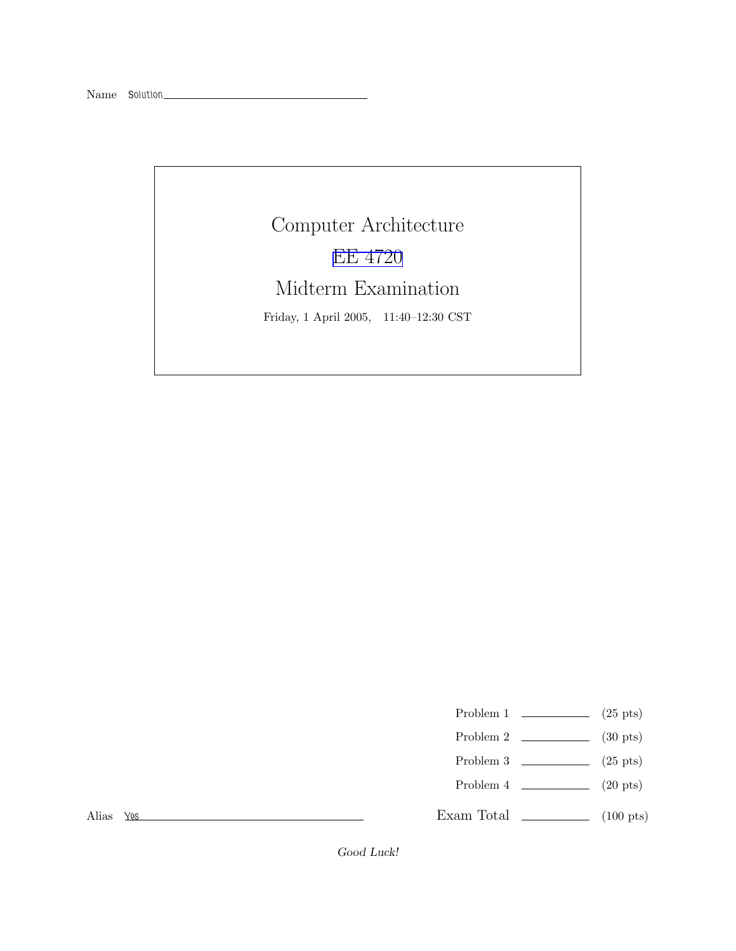## Computer Architecture EE [4720](http://www.ece.lsu.edu/ee4720/) Midterm Examination Friday, 1 April 2005, 11:40–12:30 CST

- Problem 1  $\qquad \qquad$  (25 pts)
- Problem 2  $\qquad \qquad$  (30 pts)
- Problem 3  $\qquad \qquad$  (25 pts)
- Problem 4  $\qquad \qquad (20 \text{ pts})$

Alias Yes

Exam Total \_\_\_\_\_\_\_\_\_\_\_\_\_ (100 pts)

Good Luck!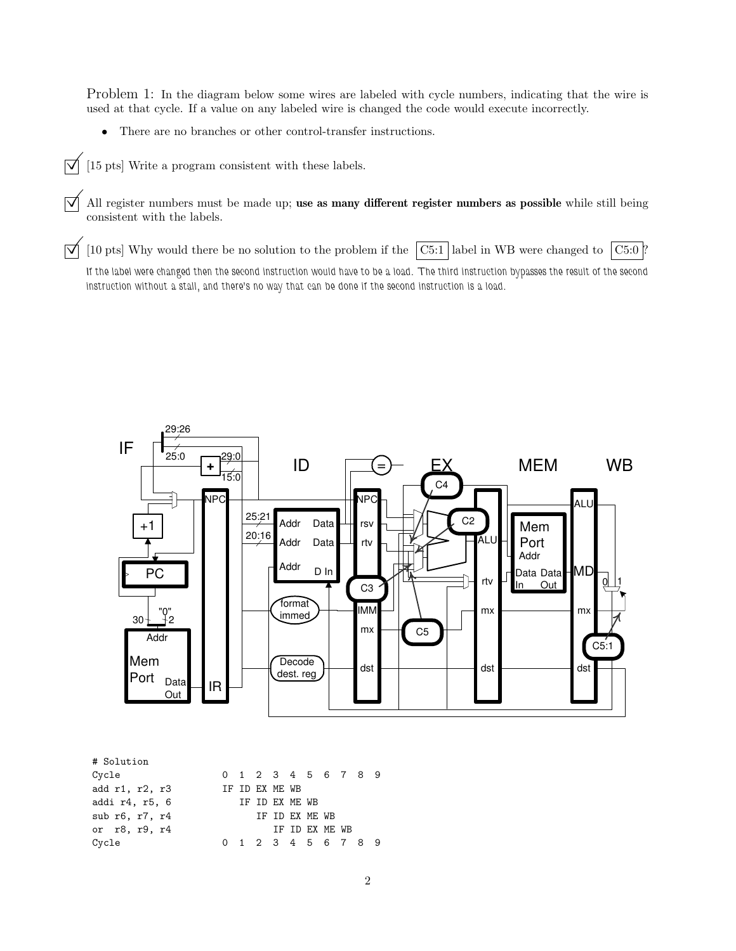Problem 1: In the diagram below some wires are labeled with cycle numbers, indicating that the wire is used at that cycle. If a value on any labeled wire is changed the code would execute incorrectly.

- There are no branches or other control-transfer instructions.
- $\overline{\bigtriangledown}$  [15 pts] Write a program consistent with these labels.

 $\overrightarrow{\mathcal{A}}$  All register numbers must be made up; use as many different register numbers as possible while still being consistent with the labels.

 $\vec{\triangledown}$  [10 pts] Why would there be no solution to the problem if the  $\boxed{\text{C5:1}}$  label in WB were changed to  $\boxed{\text{C5:0}}$ ? If the label were changed then the second instruction would have to be a load. The third instruction bypasses the result of the second instruction without a stall, and there's no way that can be done if the second instruction is a load.



| # Solution     |  |                |  |                     |  |  |
|----------------|--|----------------|--|---------------------|--|--|
| Cycle          |  |                |  | 0 1 2 3 4 5 6 7 8 9 |  |  |
| add r1, r2, r3 |  | IF ID EX ME WB |  |                     |  |  |
| addi r4, r5, 6 |  | TF TD FX MF WB |  |                     |  |  |
| sub r6, r7, r4 |  | IF ID EX ME WB |  |                     |  |  |
| or r8, r9, r4  |  |                |  | IF ID EX ME WB      |  |  |
| Cycle          |  |                |  | 0 1 2 3 4 5 6 7 8 9 |  |  |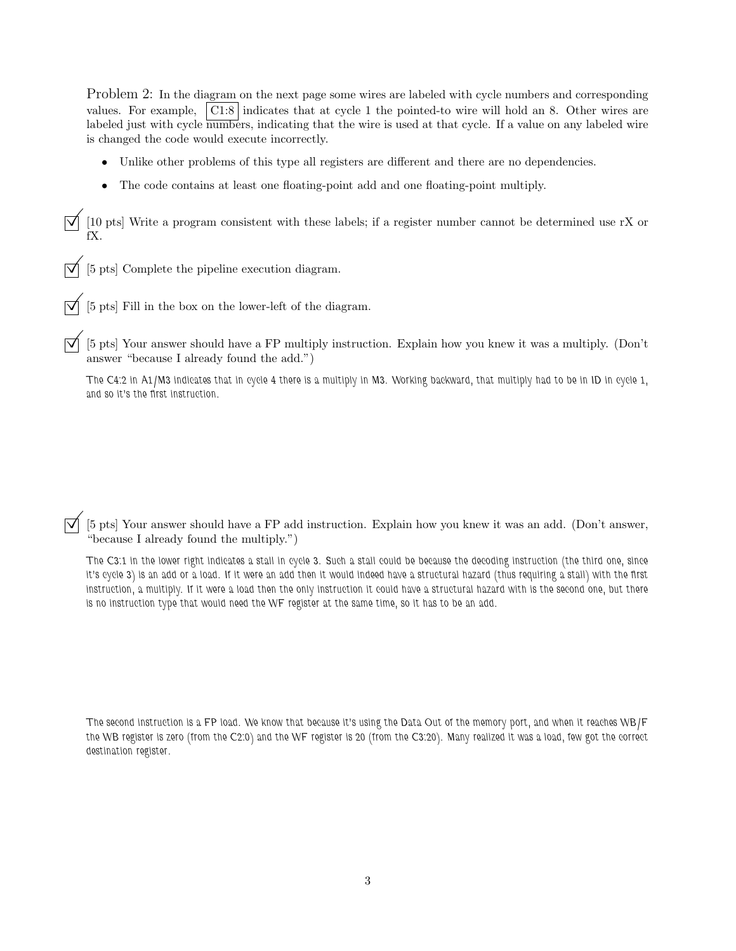Problem 2: In the diagram on the next page some wires are labeled with cycle numbers and corresponding values. For example, C1:8 indicates that at cycle 1 the pointed-to wire will hold an 8. Other wires are labeled just with cycle numbers, indicating that the wire is used at that cycle. If a value on any labeled wire is changed the code would execute incorrectly.

- Unlike other problems of this type all registers are different and there are no dependencies.
- The code contains at least one floating-point add and one floating-point multiply.

 $\boxed{\mathbf{I}}$  [10 pts] Write a program consistent with these labels; if a register number cannot be determined use rX or fX.

 $\overrightarrow{\mathsf{Q}}$  [5 pts] Complete the pipeline execution diagram.

 $\boxed{\bigtriangledown}$  [5 pts] Fill in the box on the lower-left of the diagram.

 $\vec{\triangledown}$  [5 pts] Your answer should have a FP multiply instruction. Explain how you knew it was a multiply. (Don't answer "because I already found the add.")

The C4:2 in A1/M3 indicates that in cycle 4 there is a multiply in M3. Working backward, that multiply had to be in ID in cycle 1, and so it's the first instruction.

 $\vec{\triangledown}$  [5 pts] Your answer should have a FP add instruction. Explain how you knew it was an add. (Don't answer, "because I already found the multiply.")

The C3:1 in the lower right indicates a stall in cycle 3. Such a stall could be because the decoding instruction (the third one, since it's cycle 3) is an add or a load. If it were an add then it would indeed have a structural hazard (thus requiring a stall) with the first instruction, a multiply. If it were a load then the only instruction it could have a structural hazard with is the second one, but there is no instruction type that would need the WF register at the same time, so it has to be an add.

The second instruction is a FP load. We know that because it's using the Data Out of the memory port, and when it reaches WB/F the WB register is zero (from the C2:0) and the WF register is 20 (from the C3:20). Many realized it was a load, few got the correct destination register.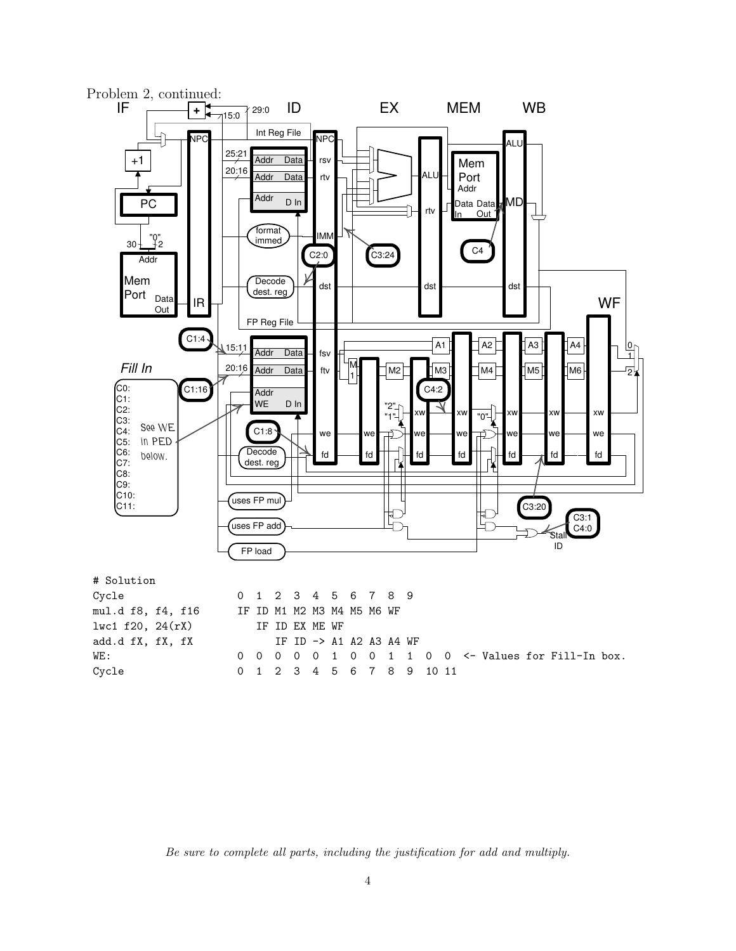

Be sure to complete all parts, including the justification for add and multiply.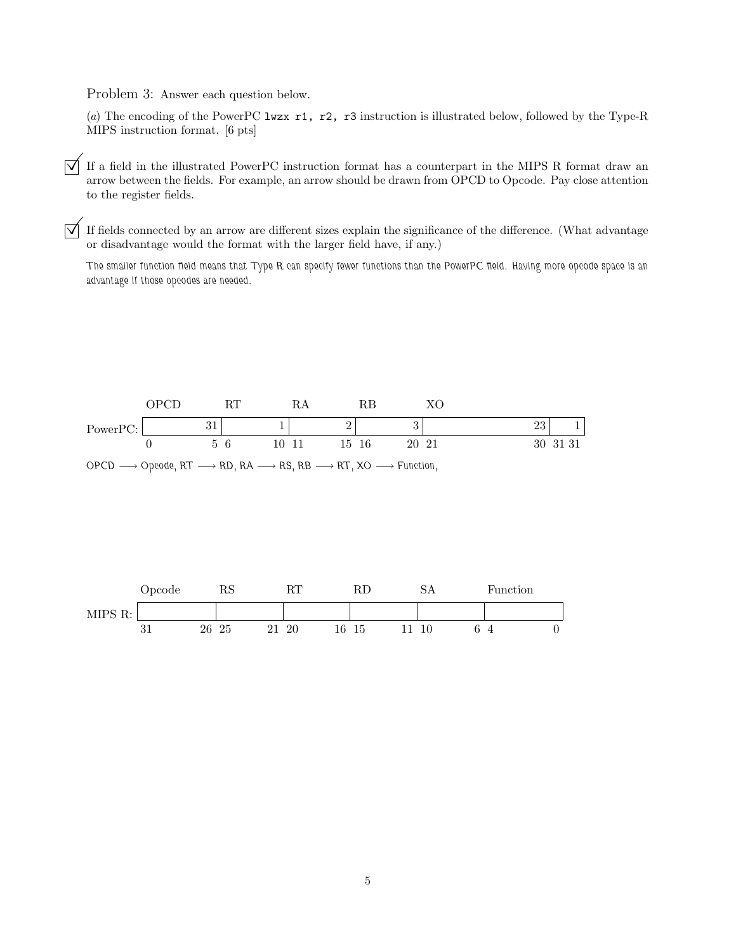Problem 3: Answer each question below.

(a) The encoding of the PowerPC lwzx r1, r2, r3 instruction is illustrated below, followed by the Type-R MIPS instruction format. [6 pts]

 $\overrightarrow{\mathsf{q}}$  If a field in the illustrated PowerPC instruction format has a counterpart in the MIPS R format draw an arrow between the fields. For example, an arrow should be drawn from OPCD to Opcode. Pay close attention to the register fields.

 $\triangledown$  If fields connected by an arrow are different sizes explain the significance of the difference. (What advantage or disadvantage would the format with the larger field have, if any.)

The smaller function field means that Type R can specify fewer functions than the PowerPC field. Having more opcode space is an advantage if those opcodes are needed.



 $OPCD \longrightarrow Opcode, RT \longrightarrow RD, RA \longrightarrow RS, RB \longrightarrow RT, XO \longrightarrow Function,$ 

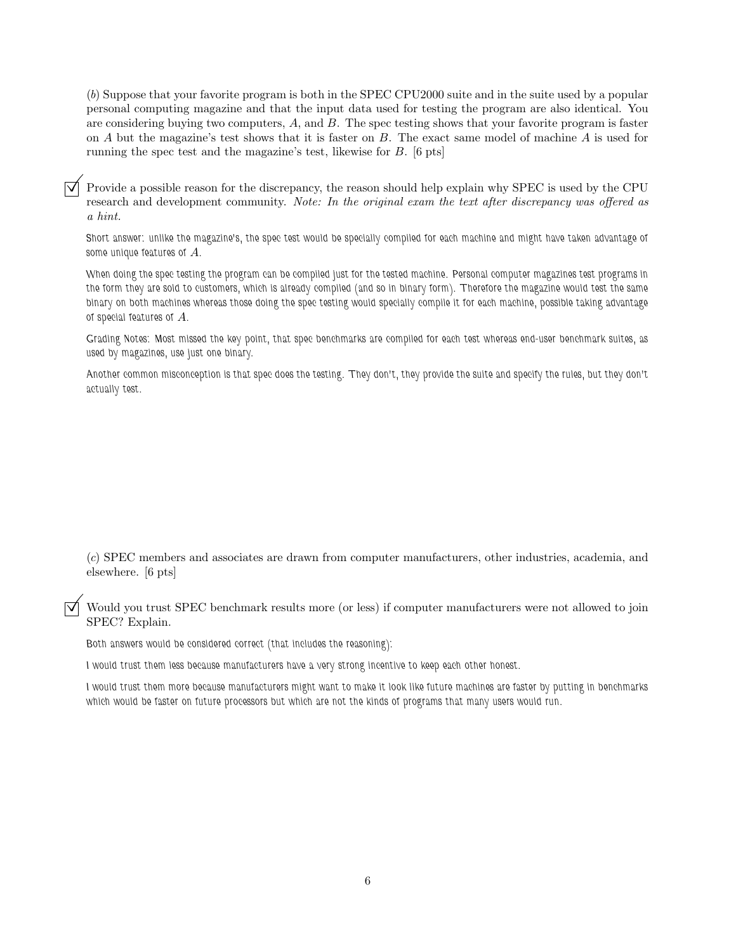(b) Suppose that your favorite program is both in the SPEC CPU2000 suite and in the suite used by a popular personal computing magazine and that the input data used for testing the program are also identical. You are considering buying two computers, A, and B. The spec testing shows that your favorite program is faster on  $A$  but the magazine's test shows that it is faster on  $B$ . The exact same model of machine  $A$  is used for running the spec test and the magazine's test, likewise for B. [6 pts]

©Provide <sup>a</sup> possible reason for the discrepancy, the reason should help explain why SPEC is used by the CPU research and development community. Note: In the original exam the text after discrepancy was offered as a hint.

Short answer: unlike the magazine's, the spec test would be specially compiled for each machine and might have taken advantage of some unique features of  $A$ .

When doing the spec testing the program can be compiled just for the tested machine. Personal computer magazines test programs in the form they are sold to customers, which is already compiled (and so in binary form). Therefore the magazine would test the same binary on both machines whereas those doing the spec testing would specially compile it for each machine, possible taking advantage of special features of A.

Grading Notes: Most missed the key point, that spec benchmarks are compiled for each test whereas end-user benchmark suites, as used by magazines, use just one binary.

Another common misconception is that spec does the testing. They don't, they provide the suite and specify the rules, but they don't actually test.

(c) SPEC members and associates are drawn from computer manufacturers, other industries, academia, and elsewhere. [6 pts]

© Would you trust SPEC benchmark results more (or less) if computer manufacturers were not allowed to join SPEC? Explain.

Both answers would be considered correct (that includes the reasoning):

I would trust them less because manufacturers have a very strong incentive to keep each other honest.

I would trust them more because manufacturers might want to make it look like future machines are faster by putting in benchmarks which would be faster on future processors but which are not the kinds of programs that many users would run.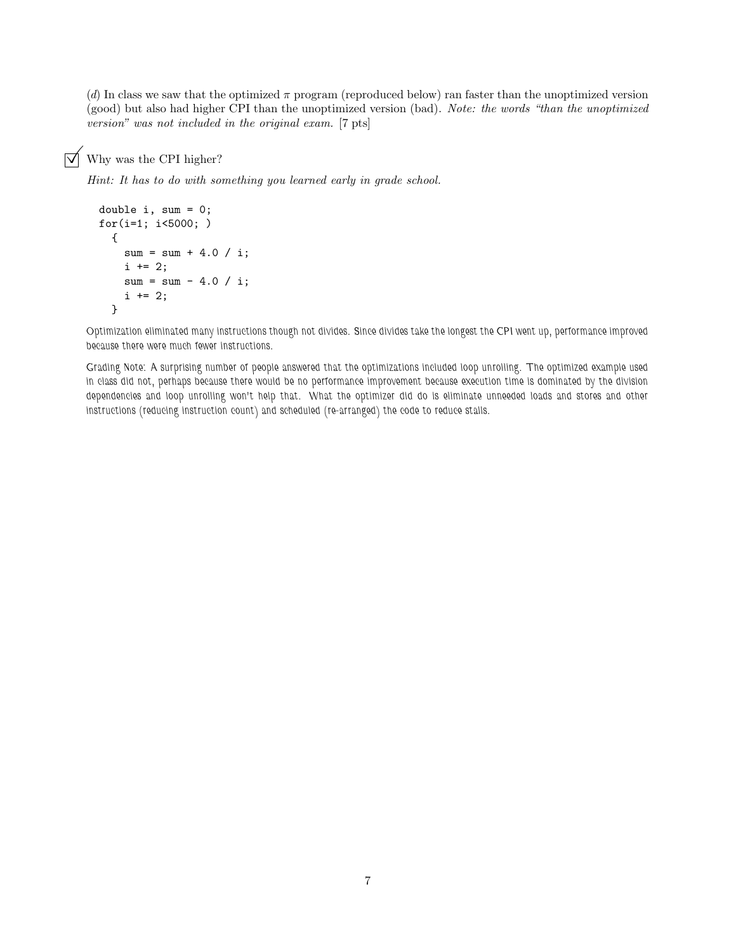(d) In class we saw that the optimized  $\pi$  program (reproduced below) ran faster than the unoptimized version (good) but also had higher CPI than the unoptimized version (bad). Note: the words "than the unoptimized version" was not included in the original exam. [7 pts]

## $\triangledown$  Why was the CPI higher?

Hint: It has to do with something you learned early in grade school.

```
double i, sum = 0;
for(i=1; i<5000; )
  {
    sum = sum + 4.0 / i;i \neq 2;sum = sum - 4.0 / i;i \neq 2;}
```
Optimization eliminated many instructions though not divides. Since divides take the longest the CPI went up, performance improved because there were much fewer instructions.

Grading Note: A surprising number of people answered that the optimizations included loop unrolling. The optimized example used in class did not, perhaps because there would be no performance improvement because execution time is dominated by the division dependencies and loop unrolling won't help that. What the optimizer did do is eliminate unneeded loads and stores and other instructions (reducing instruction count) and scheduled (re-arranged) the code to reduce stalls.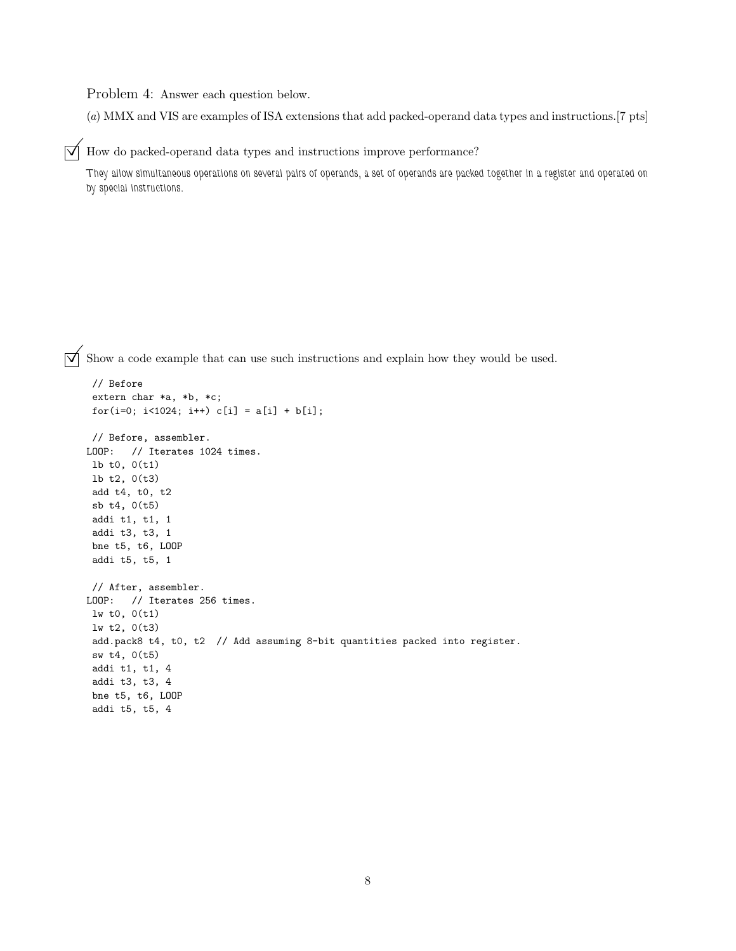Problem 4: Answer each question below.

(a) MMX and VIS are examples of ISA extensions that add packed-operand data types and instructions.[7 pts]

 $\triangledown$  How do packed-operand data types and instructions improve performance?

They allow simultaneous operations on several pairs of operands, a set of operands are packed together in a register and operated on by special instructions.

 $\triangledown$  Show a code example that can use such instructions and explain how they would be used.

```
// Before
extern char *a, *b, *c;
for(i=0; i<1024; i++) c[i] = a[i] + b[i];
// Before, assembler.
LOOP: // Iterates 1024 times.
lb t0, 0(t1)
lb t2, 0(t3)
add t4, t0, t2
sb t4, 0(t5)
addi t1, t1, 1
addi t3, t3, 1
bne t5, t6, LOOP
addi t5, t5, 1
// After, assembler.
LOOP: // Iterates 256 times.
lw t0, 0(t1)
lw t2, 0(t3)
add.pack8 t4, t0, t2 // Add assuming 8-bit quantities packed into register.
sw t4, 0(t5)
addi t1, t1, 4
addi t3, t3, 4
bne t5, t6, LOOP
addi t5, t5, 4
```